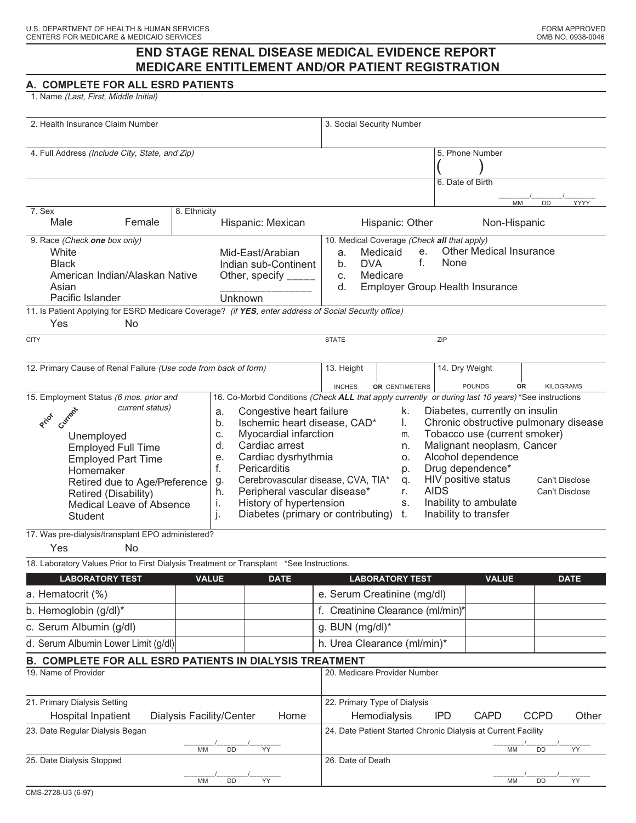## **END STAGE RENAL DISEASE MEDICAL EVIDENCE REPORT MEDICARE ENTITLEMENT AND/OR PATIENT REGISTRATION**

## **A. COMPLETE FOR ALL ESRD PATIENTS**

1. Name (Last, First, Middle Initial)

| 2. Health Insurance Claim Number                                                                                                                                                                                                                                                                                                                                                                   |                          |                       |                                                                                                                                                                                                                                                                                                                                                                                                                                                      | 3. Social Security Number                                     |            |                        |             |                                                                                                                                                                                                                                                                                              |                                |             |                  |
|----------------------------------------------------------------------------------------------------------------------------------------------------------------------------------------------------------------------------------------------------------------------------------------------------------------------------------------------------------------------------------------------------|--------------------------|-----------------------|------------------------------------------------------------------------------------------------------------------------------------------------------------------------------------------------------------------------------------------------------------------------------------------------------------------------------------------------------------------------------------------------------------------------------------------------------|---------------------------------------------------------------|------------|------------------------|-------------|----------------------------------------------------------------------------------------------------------------------------------------------------------------------------------------------------------------------------------------------------------------------------------------------|--------------------------------|-------------|------------------|
| 4. Full Address (Include City, State, and Zip)                                                                                                                                                                                                                                                                                                                                                     |                          |                       |                                                                                                                                                                                                                                                                                                                                                                                                                                                      |                                                               |            |                        |             |                                                                                                                                                                                                                                                                                              | 5. Phone Number                |             |                  |
|                                                                                                                                                                                                                                                                                                                                                                                                    |                          |                       |                                                                                                                                                                                                                                                                                                                                                                                                                                                      |                                                               |            |                        |             | 6. Date of Birth                                                                                                                                                                                                                                                                             | MM                             | <b>DD</b>   | YYYY             |
| 7. Sex                                                                                                                                                                                                                                                                                                                                                                                             | 8. Ethnicity             |                       |                                                                                                                                                                                                                                                                                                                                                                                                                                                      |                                                               |            |                        |             |                                                                                                                                                                                                                                                                                              |                                |             |                  |
| Female<br>Male                                                                                                                                                                                                                                                                                                                                                                                     |                          |                       | Hispanic: Mexican                                                                                                                                                                                                                                                                                                                                                                                                                                    |                                                               |            | Hispanic: Other        |             |                                                                                                                                                                                                                                                                                              | Non-Hispanic                   |             |                  |
| 9. Race (Check one box only)<br>White<br><b>Black</b>                                                                                                                                                                                                                                                                                                                                              |                          |                       | Mid-East/Arabian<br>Indian sub-Continent                                                                                                                                                                                                                                                                                                                                                                                                             | a.<br>b.                                                      | <b>DVA</b> | Medicaid               | е.<br>f.    | 10. Medical Coverage (Check all that apply)<br>None                                                                                                                                                                                                                                          | <b>Other Medical Insurance</b> |             |                  |
| American Indian/Alaskan Native<br>Asian<br>Pacific Islander                                                                                                                                                                                                                                                                                                                                        |                          | Other, specify $_{-}$ | Medicare<br>C.<br>d.<br><b>Employer Group Health Insurance</b>                                                                                                                                                                                                                                                                                                                                                                                       |                                                               |            |                        |             |                                                                                                                                                                                                                                                                                              |                                |             |                  |
|                                                                                                                                                                                                                                                                                                                                                                                                    |                          | Unknown               |                                                                                                                                                                                                                                                                                                                                                                                                                                                      |                                                               |            |                        |             |                                                                                                                                                                                                                                                                                              |                                |             |                  |
| 11. Is Patient Applying for ESRD Medicare Coverage? (if YES, enter address of Social Security office)<br>Yes<br>No                                                                                                                                                                                                                                                                                 |                          |                       |                                                                                                                                                                                                                                                                                                                                                                                                                                                      |                                                               |            |                        |             |                                                                                                                                                                                                                                                                                              |                                |             |                  |
| <b>CITY</b>                                                                                                                                                                                                                                                                                                                                                                                        |                          |                       |                                                                                                                                                                                                                                                                                                                                                                                                                                                      | <b>STATE</b>                                                  |            |                        |             | ZIP                                                                                                                                                                                                                                                                                          |                                |             |                  |
| 12. Primary Cause of Renal Failure (Use code from back of form)                                                                                                                                                                                                                                                                                                                                    |                          |                       |                                                                                                                                                                                                                                                                                                                                                                                                                                                      | 13. Height                                                    |            |                        |             | 14. Dry Weight                                                                                                                                                                                                                                                                               |                                |             |                  |
|                                                                                                                                                                                                                                                                                                                                                                                                    |                          |                       |                                                                                                                                                                                                                                                                                                                                                                                                                                                      | <b>INCHES</b>                                                 |            | OR CENTIMETERS         |             |                                                                                                                                                                                                                                                                                              | <b>POUNDS</b>                  | OR          | <b>KILOGRAMS</b> |
| 15. Employment Status (6 mos. prior and<br>current status)<br>Current<br>a.<br>Priot<br>b.<br>C.<br>Unemployed<br>d.<br><b>Employed Full Time</b><br>е.<br><b>Employed Part Time</b><br>f.<br>Homemaker<br>Retired due to Age/Preference<br>g.<br>h.<br>Retired (Disability)<br>j,<br><b>Medical Leave of Absence</b><br>j.<br><b>Student</b><br>17. Was pre-dialysis/transplant EPO administered? |                          |                       | 16. Co-Morbid Conditions (Check ALL that apply currently or during last 10 years) *See instructions<br>Congestive heart failure<br>k.<br>Ischemic heart disease, CAD*<br>I.<br>Myocardial infarction<br>m.<br>Cardiac arrest<br>n.<br>Cardiac dysrhythmia<br>О.<br>Pericarditis<br>p.<br>Cerebrovascular disease, CVA, TIA*<br>q.<br>Peripheral vascular disease*<br>r.<br>History of hypertension<br>S.<br>Diabetes (primary or contributing)<br>t. |                                                               |            |                        | <b>AIDS</b> | Diabetes, currently on insulin<br>Chronic obstructive pulmonary disease<br>Tobacco use (current smoker)<br>Malignant neoplasm, Cancer<br>Alcohol dependence<br>Drug dependence*<br>HIV positive status<br>Can't Disclose<br>Can't Disclose<br>Inability to ambulate<br>Inability to transfer |                                |             |                  |
| Yes<br>No                                                                                                                                                                                                                                                                                                                                                                                          |                          |                       |                                                                                                                                                                                                                                                                                                                                                                                                                                                      |                                                               |            |                        |             |                                                                                                                                                                                                                                                                                              |                                |             |                  |
| 18. Laboratory Values Prior to First Dialysis Treatment or Transplant *See Instructions.                                                                                                                                                                                                                                                                                                           |                          |                       |                                                                                                                                                                                                                                                                                                                                                                                                                                                      |                                                               |            |                        |             |                                                                                                                                                                                                                                                                                              |                                |             |                  |
| <b>LABORATORY TEST</b>                                                                                                                                                                                                                                                                                                                                                                             | <b>VALUE</b>             |                       | <b>DATE</b>                                                                                                                                                                                                                                                                                                                                                                                                                                          |                                                               |            | <b>LABORATORY TEST</b> |             |                                                                                                                                                                                                                                                                                              | <b>VALUE</b>                   |             | <b>DATE</b>      |
| a. Hematocrit (%)                                                                                                                                                                                                                                                                                                                                                                                  |                          |                       |                                                                                                                                                                                                                                                                                                                                                                                                                                                      | e. Serum Creatinine (mg/dl)                                   |            |                        |             |                                                                                                                                                                                                                                                                                              |                                |             |                  |
| b. Hemoglobin (g/dl)*                                                                                                                                                                                                                                                                                                                                                                              |                          |                       |                                                                                                                                                                                                                                                                                                                                                                                                                                                      | f. Creatinine Clearance (ml/min)*                             |            |                        |             |                                                                                                                                                                                                                                                                                              |                                |             |                  |
| c. Serum Albumin (g/dl)                                                                                                                                                                                                                                                                                                                                                                            |                          |                       |                                                                                                                                                                                                                                                                                                                                                                                                                                                      | g. BUN $(mg/dl)^*$                                            |            |                        |             |                                                                                                                                                                                                                                                                                              |                                |             |                  |
| d. Serum Albumin Lower Limit (g/dl)                                                                                                                                                                                                                                                                                                                                                                |                          |                       |                                                                                                                                                                                                                                                                                                                                                                                                                                                      | h. Urea Clearance (ml/min)*                                   |            |                        |             |                                                                                                                                                                                                                                                                                              |                                |             |                  |
| B. COMPLETE FOR ALL ESRD PATIENTS IN DIALYSIS TREATMENT                                                                                                                                                                                                                                                                                                                                            |                          |                       |                                                                                                                                                                                                                                                                                                                                                                                                                                                      |                                                               |            |                        |             |                                                                                                                                                                                                                                                                                              |                                |             |                  |
| 19. Name of Provider                                                                                                                                                                                                                                                                                                                                                                               |                          |                       |                                                                                                                                                                                                                                                                                                                                                                                                                                                      | 20. Medicare Provider Number                                  |            |                        |             |                                                                                                                                                                                                                                                                                              |                                |             |                  |
| 21. Primary Dialysis Setting                                                                                                                                                                                                                                                                                                                                                                       |                          |                       |                                                                                                                                                                                                                                                                                                                                                                                                                                                      | 22. Primary Type of Dialysis                                  |            |                        |             |                                                                                                                                                                                                                                                                                              |                                |             |                  |
| Hospital Inpatient<br>23. Date Regular Dialysis Began                                                                                                                                                                                                                                                                                                                                              | Dialysis Facility/Center |                       | Home                                                                                                                                                                                                                                                                                                                                                                                                                                                 |                                                               |            | Hemodialysis           |             | <b>IPD</b>                                                                                                                                                                                                                                                                                   | <b>CAPD</b>                    | <b>CCPD</b> | Other            |
|                                                                                                                                                                                                                                                                                                                                                                                                    |                          |                       |                                                                                                                                                                                                                                                                                                                                                                                                                                                      | 24. Date Patient Started Chronic Dialysis at Current Facility |            |                        |             |                                                                                                                                                                                                                                                                                              |                                |             |                  |
| YY<br>DD<br>MM<br>25. Date Dialysis Stopped                                                                                                                                                                                                                                                                                                                                                        |                          |                       |                                                                                                                                                                                                                                                                                                                                                                                                                                                      | 26. Date of Death                                             |            |                        |             |                                                                                                                                                                                                                                                                                              | MM                             | DD          | YY               |
| DD<br>YY<br>MM                                                                                                                                                                                                                                                                                                                                                                                     |                          |                       |                                                                                                                                                                                                                                                                                                                                                                                                                                                      |                                                               |            |                        |             |                                                                                                                                                                                                                                                                                              | МM                             | DD          | YY               |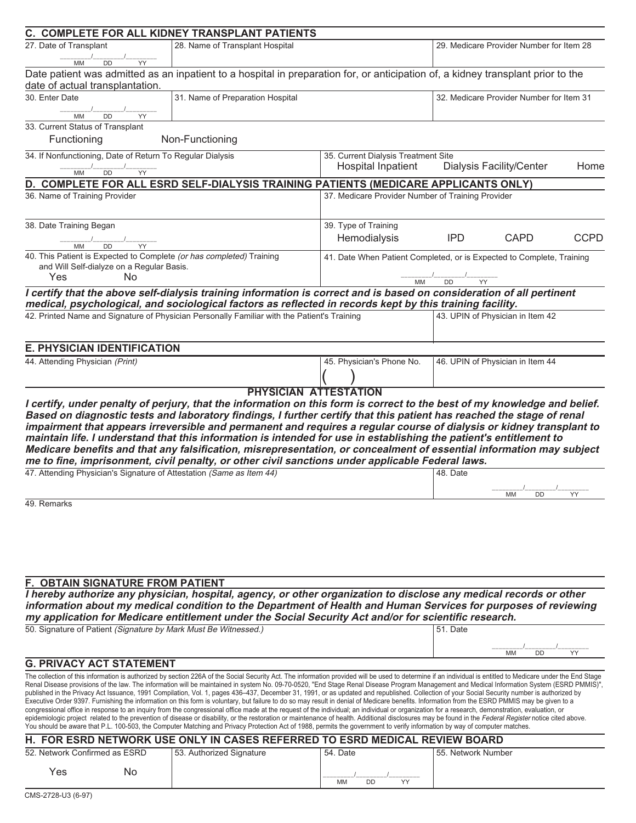|                                                           |                                           | C. COMPLETE FOR ALL KIDNEY TRANSPLANT PATIENTS                                                                                                                                                                                                                                                                                                                                                                                                                                                                                                                                                                                                               |                                                   |                                                                                                                                                                                                                                                                                                                                                                                                                                                                                                                                                                                                       |  |  |  |  |  |
|-----------------------------------------------------------|-------------------------------------------|--------------------------------------------------------------------------------------------------------------------------------------------------------------------------------------------------------------------------------------------------------------------------------------------------------------------------------------------------------------------------------------------------------------------------------------------------------------------------------------------------------------------------------------------------------------------------------------------------------------------------------------------------------------|---------------------------------------------------|-------------------------------------------------------------------------------------------------------------------------------------------------------------------------------------------------------------------------------------------------------------------------------------------------------------------------------------------------------------------------------------------------------------------------------------------------------------------------------------------------------------------------------------------------------------------------------------------------------|--|--|--|--|--|
| 27. Date of Transplant                                    |                                           | 28. Name of Transplant Hospital                                                                                                                                                                                                                                                                                                                                                                                                                                                                                                                                                                                                                              | 29. Medicare Provider Number for Item 28          |                                                                                                                                                                                                                                                                                                                                                                                                                                                                                                                                                                                                       |  |  |  |  |  |
| MM                                                        | DD<br>YY                                  |                                                                                                                                                                                                                                                                                                                                                                                                                                                                                                                                                                                                                                                              |                                                   |                                                                                                                                                                                                                                                                                                                                                                                                                                                                                                                                                                                                       |  |  |  |  |  |
|                                                           |                                           |                                                                                                                                                                                                                                                                                                                                                                                                                                                                                                                                                                                                                                                              |                                                   | Date patient was admitted as an inpatient to a hospital in preparation for, or anticipation of, a kidney transplant prior to the                                                                                                                                                                                                                                                                                                                                                                                                                                                                      |  |  |  |  |  |
| date of actual transplantation.                           |                                           |                                                                                                                                                                                                                                                                                                                                                                                                                                                                                                                                                                                                                                                              |                                                   |                                                                                                                                                                                                                                                                                                                                                                                                                                                                                                                                                                                                       |  |  |  |  |  |
| 30. Enter Date                                            |                                           | 31. Name of Preparation Hospital                                                                                                                                                                                                                                                                                                                                                                                                                                                                                                                                                                                                                             | 32. Medicare Provider Number for Item 31          |                                                                                                                                                                                                                                                                                                                                                                                                                                                                                                                                                                                                       |  |  |  |  |  |
| <b>MM</b>                                                 | DD<br>YY                                  |                                                                                                                                                                                                                                                                                                                                                                                                                                                                                                                                                                                                                                                              |                                                   |                                                                                                                                                                                                                                                                                                                                                                                                                                                                                                                                                                                                       |  |  |  |  |  |
| 33. Current Status of Transplant                          |                                           |                                                                                                                                                                                                                                                                                                                                                                                                                                                                                                                                                                                                                                                              |                                                   |                                                                                                                                                                                                                                                                                                                                                                                                                                                                                                                                                                                                       |  |  |  |  |  |
| Functioning                                               |                                           | Non-Functioning                                                                                                                                                                                                                                                                                                                                                                                                                                                                                                                                                                                                                                              |                                                   |                                                                                                                                                                                                                                                                                                                                                                                                                                                                                                                                                                                                       |  |  |  |  |  |
| 34. If Nonfunctioning, Date of Return To Regular Dialysis |                                           |                                                                                                                                                                                                                                                                                                                                                                                                                                                                                                                                                                                                                                                              | 35. Current Dialysis Treatment Site               |                                                                                                                                                                                                                                                                                                                                                                                                                                                                                                                                                                                                       |  |  |  |  |  |
| <b>MM</b>                                                 | DD<br>YY                                  |                                                                                                                                                                                                                                                                                                                                                                                                                                                                                                                                                                                                                                                              | Hospital Inpatient                                | <b>Dialysis Facility/Center</b><br>Home                                                                                                                                                                                                                                                                                                                                                                                                                                                                                                                                                               |  |  |  |  |  |
|                                                           |                                           | D. COMPLETE FOR ALL ESRD SELF-DIALYSIS TRAINING PATIENTS (MEDICARE APPLICANTS ONLY)                                                                                                                                                                                                                                                                                                                                                                                                                                                                                                                                                                          |                                                   |                                                                                                                                                                                                                                                                                                                                                                                                                                                                                                                                                                                                       |  |  |  |  |  |
| 36. Name of Training Provider                             |                                           |                                                                                                                                                                                                                                                                                                                                                                                                                                                                                                                                                                                                                                                              | 37. Medicare Provider Number of Training Provider |                                                                                                                                                                                                                                                                                                                                                                                                                                                                                                                                                                                                       |  |  |  |  |  |
|                                                           |                                           |                                                                                                                                                                                                                                                                                                                                                                                                                                                                                                                                                                                                                                                              |                                                   |                                                                                                                                                                                                                                                                                                                                                                                                                                                                                                                                                                                                       |  |  |  |  |  |
| 38. Date Training Began                                   |                                           |                                                                                                                                                                                                                                                                                                                                                                                                                                                                                                                                                                                                                                                              | 39. Type of Training                              |                                                                                                                                                                                                                                                                                                                                                                                                                                                                                                                                                                                                       |  |  |  |  |  |
| <b>MM</b>                                                 | DD<br>YY                                  |                                                                                                                                                                                                                                                                                                                                                                                                                                                                                                                                                                                                                                                              | Hemodialysis                                      | <b>IPD</b><br><b>CAPD</b><br><b>CCPD</b>                                                                                                                                                                                                                                                                                                                                                                                                                                                                                                                                                              |  |  |  |  |  |
|                                                           |                                           | 40. This Patient is Expected to Complete (or has completed) Training                                                                                                                                                                                                                                                                                                                                                                                                                                                                                                                                                                                         |                                                   | 41. Date When Patient Completed, or is Expected to Complete, Training                                                                                                                                                                                                                                                                                                                                                                                                                                                                                                                                 |  |  |  |  |  |
|                                                           | and Will Self-dialyze on a Regular Basis. |                                                                                                                                                                                                                                                                                                                                                                                                                                                                                                                                                                                                                                                              |                                                   |                                                                                                                                                                                                                                                                                                                                                                                                                                                                                                                                                                                                       |  |  |  |  |  |
| Yes                                                       | No.                                       |                                                                                                                                                                                                                                                                                                                                                                                                                                                                                                                                                                                                                                                              | MM                                                | DD <sup>1</sup><br>YY                                                                                                                                                                                                                                                                                                                                                                                                                                                                                                                                                                                 |  |  |  |  |  |
|                                                           |                                           | I certify that the above self-dialysis training information is correct and is based on consideration of all pertinent                                                                                                                                                                                                                                                                                                                                                                                                                                                                                                                                        |                                                   |                                                                                                                                                                                                                                                                                                                                                                                                                                                                                                                                                                                                       |  |  |  |  |  |
|                                                           |                                           | medical, psychological, and sociological factors as reflected in records kept by this training facility.                                                                                                                                                                                                                                                                                                                                                                                                                                                                                                                                                     |                                                   |                                                                                                                                                                                                                                                                                                                                                                                                                                                                                                                                                                                                       |  |  |  |  |  |
|                                                           |                                           | 42. Printed Name and Signature of Physician Personally Familiar with the Patient's Training                                                                                                                                                                                                                                                                                                                                                                                                                                                                                                                                                                  |                                                   | 43. UPIN of Physician in Item 42                                                                                                                                                                                                                                                                                                                                                                                                                                                                                                                                                                      |  |  |  |  |  |
|                                                           |                                           |                                                                                                                                                                                                                                                                                                                                                                                                                                                                                                                                                                                                                                                              |                                                   |                                                                                                                                                                                                                                                                                                                                                                                                                                                                                                                                                                                                       |  |  |  |  |  |
| <b>E. PHYSICIAN IDENTIFICATION</b>                        |                                           |                                                                                                                                                                                                                                                                                                                                                                                                                                                                                                                                                                                                                                                              |                                                   |                                                                                                                                                                                                                                                                                                                                                                                                                                                                                                                                                                                                       |  |  |  |  |  |
| 44. Attending Physician (Print)                           |                                           |                                                                                                                                                                                                                                                                                                                                                                                                                                                                                                                                                                                                                                                              | 45. Physician's Phone No.                         | 46. UPIN of Physician in Item 44                                                                                                                                                                                                                                                                                                                                                                                                                                                                                                                                                                      |  |  |  |  |  |
|                                                           |                                           |                                                                                                                                                                                                                                                                                                                                                                                                                                                                                                                                                                                                                                                              |                                                   |                                                                                                                                                                                                                                                                                                                                                                                                                                                                                                                                                                                                       |  |  |  |  |  |
|                                                           |                                           | maintain life. I understand that this information is intended for use in establishing the patient's entitlement to<br>me to fine, imprisonment, civil penalty, or other civil sanctions under applicable Federal laws.                                                                                                                                                                                                                                                                                                                                                                                                                                       |                                                   | impairment that appears irreversible and permanent and requires a regular course of dialysis or kidney transplant to<br>Medicare benefits and that any falsification, misrepresentation, or concealment of essential information may subject                                                                                                                                                                                                                                                                                                                                                          |  |  |  |  |  |
|                                                           |                                           | 47. Attending Physician's Signature of Attestation (Same as Item 44)                                                                                                                                                                                                                                                                                                                                                                                                                                                                                                                                                                                         |                                                   | 48. Date                                                                                                                                                                                                                                                                                                                                                                                                                                                                                                                                                                                              |  |  |  |  |  |
|                                                           |                                           |                                                                                                                                                                                                                                                                                                                                                                                                                                                                                                                                                                                                                                                              |                                                   |                                                                                                                                                                                                                                                                                                                                                                                                                                                                                                                                                                                                       |  |  |  |  |  |
| 49. Remarks                                               |                                           |                                                                                                                                                                                                                                                                                                                                                                                                                                                                                                                                                                                                                                                              |                                                   | MM DD                                                                                                                                                                                                                                                                                                                                                                                                                                                                                                                                                                                                 |  |  |  |  |  |
|                                                           |                                           |                                                                                                                                                                                                                                                                                                                                                                                                                                                                                                                                                                                                                                                              |                                                   |                                                                                                                                                                                                                                                                                                                                                                                                                                                                                                                                                                                                       |  |  |  |  |  |
| F. OBTAIN SIGNATURE FROM PATIENT                          |                                           |                                                                                                                                                                                                                                                                                                                                                                                                                                                                                                                                                                                                                                                              |                                                   |                                                                                                                                                                                                                                                                                                                                                                                                                                                                                                                                                                                                       |  |  |  |  |  |
|                                                           |                                           | my application for Medicare entitlement under the Social Security Act and/or for scientific research.                                                                                                                                                                                                                                                                                                                                                                                                                                                                                                                                                        |                                                   | I hereby authorize any physician, hospital, agency, or other organization to disclose any medical records or other<br>information about my medical condition to the Department of Health and Human Services for purposes of reviewing                                                                                                                                                                                                                                                                                                                                                                 |  |  |  |  |  |
|                                                           |                                           | 50. Signature of Patient (Signature by Mark Must Be Witnessed.)                                                                                                                                                                                                                                                                                                                                                                                                                                                                                                                                                                                              |                                                   | 51. Date                                                                                                                                                                                                                                                                                                                                                                                                                                                                                                                                                                                              |  |  |  |  |  |
|                                                           |                                           |                                                                                                                                                                                                                                                                                                                                                                                                                                                                                                                                                                                                                                                              |                                                   |                                                                                                                                                                                                                                                                                                                                                                                                                                                                                                                                                                                                       |  |  |  |  |  |
| <b>G. PRIVACY ACT STATEMENT</b>                           |                                           |                                                                                                                                                                                                                                                                                                                                                                                                                                                                                                                                                                                                                                                              |                                                   | YY<br>MM<br><b>DD</b>                                                                                                                                                                                                                                                                                                                                                                                                                                                                                                                                                                                 |  |  |  |  |  |
|                                                           |                                           |                                                                                                                                                                                                                                                                                                                                                                                                                                                                                                                                                                                                                                                              |                                                   | The collection of this information is authorized by section 226A of the Social Security Act. The information provided will be used to determine if an individual is entitled to Medicare under the End Stage                                                                                                                                                                                                                                                                                                                                                                                          |  |  |  |  |  |
|                                                           |                                           | Executive Order 9397. Furnishing the information on this form is voluntary, but failure to do so may result in denial of Medicare benefits. Information from the ESRD PMMIS may be given to a<br>congressional office in response to an inquiry from the congressional office made at the request of the individual; an individual or organization for a research, demonstration, evaluation, or<br>You should be aware that P.L. 100-503, the Computer Matching and Privacy Protection Act of 1988, permits the government to verify information by way of computer matches.<br>H. FOR ESRD NETWORK USE ONLY IN CASES REFERRED TO ESRD MEDICAL REVIEW BOARD |                                                   | Renal Disease provisions of the law. The information will be maintained in system No. 09-70-0520, "End Stage Renal Disease Program Management and Medical Information System (ESRD PMMIS)",<br>published in the Privacy Act Issuance, 1991 Compilation, Vol. 1, pages 436–437, December 31, 1991, or as updated and republished. Collection of your Social Security number is authorized by<br>epidemiologic project related to the prevention of disease or disability, or the restoration or maintenance of health. Additional disclosures may be found in the Federal Register notice cited above. |  |  |  |  |  |
| 52. Network Confirmed as ESRD                             |                                           | 53. Authorized Signature                                                                                                                                                                                                                                                                                                                                                                                                                                                                                                                                                                                                                                     | 54. Date                                          | 55. Network Number                                                                                                                                                                                                                                                                                                                                                                                                                                                                                                                                                                                    |  |  |  |  |  |
|                                                           |                                           |                                                                                                                                                                                                                                                                                                                                                                                                                                                                                                                                                                                                                                                              |                                                   |                                                                                                                                                                                                                                                                                                                                                                                                                                                                                                                                                                                                       |  |  |  |  |  |
| Yes                                                       | No                                        |                                                                                                                                                                                                                                                                                                                                                                                                                                                                                                                                                                                                                                                              | MM<br><b>DD</b><br>YY                             |                                                                                                                                                                                                                                                                                                                                                                                                                                                                                                                                                                                                       |  |  |  |  |  |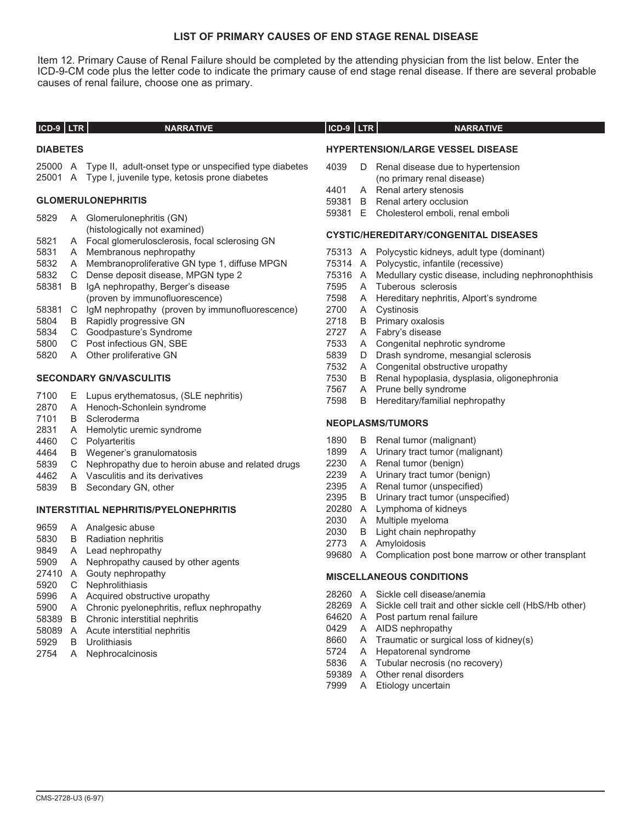### **LIST OF PRIMARY CAUSES OF END STAGE RENAL DISEASE**

Item 12. Primary Cause of Renal Failure should be completed by the attending physician from the list below. Enter the ICD-9-CM code plus the letter code to indicate the primary cause of end stage renal disease. If there are several probable causes of renal failure, choose one as primary.

| ICD-9 LTR       | <b>NARRATIVE</b>                                                                 | $ICD-9$ $LTR$ | <b>NARRATIVE</b>                                               |
|-----------------|----------------------------------------------------------------------------------|---------------|----------------------------------------------------------------|
| <b>DIABETES</b> |                                                                                  |               | <b>HYPERTENSION/LARGE VESSEL DISEASE</b>                       |
|                 | 25000 A Type II, adult-onset type or unspecified type diabetes                   | 4039          | D Renal disease due to hypertension                            |
|                 | 25001 A Type I, juvenile type, ketosis prone diabetes                            |               | (no primary renal disease)                                     |
|                 |                                                                                  | 4401          | A Renal artery stenosis                                        |
|                 | <b>GLOMERULONEPHRITIS</b>                                                        | 59381         | <b>B</b> Renal artery occlusion                                |
| 5829            | A Glomerulonephritis (GN)                                                        |               | 59381 E Cholesterol emboli, renal emboli                       |
| 5821            | (histologically not examined)<br>A Focal glomerulosclerosis, focal sclerosing GN |               | <b>CYSTIC/HEREDITARY/CONGENITAL DISEASES</b>                   |
| 5831            | A Membranous nephropathy                                                         |               | 75313 A Polycystic kidneys, adult type (dominant)              |
| 5832            | A Membranoproliferative GN type 1, diffuse MPGN                                  |               | 75314 A Polycystic, infantile (recessive)                      |
| 5832            | C Dense deposit disease, MPGN type 2                                             |               | 75316 A Medullary cystic disease, including nephronophthis     |
| 58381 B         | IgA nephropathy, Berger's disease                                                | 7595          | A Tuberous sclerosis                                           |
|                 | (proven by immunofluorescence)                                                   | 7598          | A Hereditary nephritis, Alport's syndrome                      |
| 58381           | C IgM nephropathy (proven by immunofluorescence)                                 | 2700          | A Cystinosis                                                   |
| 5804            | <b>B</b> Rapidly progressive GN                                                  | 2718          | <b>B</b> Primary oxalosis                                      |
| 5834            | C Goodpasture's Syndrome                                                         | 2727          | A Fabry's disease                                              |
| 5800            | C Post infectious GN, SBE                                                        | 7533          | A Congenital nephrotic syndrome                                |
| 5820            | A Other proliferative GN                                                         | 5839          | D Drash syndrome, mesangial sclerosis                          |
|                 |                                                                                  | 7532          | A Congenital obstructive uropathy                              |
|                 | <b>SECONDARY GN/VASCULITIS</b>                                                   | 7530          | B Renal hypoplasia, dysplasia, oligonephronia                  |
| 7100            | E Lupus erythematosus, (SLE nephritis)                                           | 7567          | A Prune belly syndrome                                         |
| 2870            | A Henoch-Schonlein syndrome                                                      | 7598          | B Hereditary/familial nephropathy                              |
| 7101            | <b>B</b> Scleroderma                                                             |               |                                                                |
| 2831            | A Hemolytic uremic syndrome                                                      |               | <b>NEOPLASMS/TUMORS</b>                                        |
| 4460            | C Polyarteritis                                                                  | 1890          | B Renal tumor (malignant)                                      |
| 4464            | B Wegener's granulomatosis                                                       | 1899          | A Urinary tract tumor (malignant)                              |
| 5839            | C Nephropathy due to heroin abuse and related drugs                              | 2230          | A Renal tumor (benign)                                         |
| 4462            | A Vasculitis and its derivatives                                                 | 2239          | A Urinary tract tumor (benign)                                 |
| 5839            | B Secondary GN, other                                                            | 2395          | A Renal tumor (unspecified)                                    |
|                 |                                                                                  | 2395          | B Urinary tract tumor (unspecified)                            |
|                 | <b>INTERSTITIAL NEPHRITIS/PYELONEPHRITIS</b>                                     |               | 20280 A Lymphoma of kidneys                                    |
|                 |                                                                                  | 2030          | A Multiple myeloma                                             |
| 9659            | A Analgesic abuse                                                                | 2030          | B Light chain nephropathy                                      |
| 5830            | <b>B</b> Radiation nephritis                                                     | 2773          | A Amyloidosis                                                  |
| 9849            | A Lead nephropathy                                                               |               | 99680 A Complication post bone marrow or other transplant      |
| 5909<br>27410   | A Nephropathy caused by other agents                                             |               |                                                                |
|                 | A Gouty nephropathy                                                              |               | <b>MISCELLANEOUS CONDITIONS</b>                                |
| 5920<br>5996    | C Nephrolithiasis<br>A Acquired obstructive uropathy                             |               | 28260 A Sickle cell disease/anemia                             |
| 5900            | A Chronic pyelonephritis, reflux nephropathy                                     |               | 28269 A Sickle cell trait and other sickle cell (HbS/Hb other) |
| 58389           | <b>B</b> Chronic interstitial nephritis                                          |               | 64620 A Post partum renal failure                              |
| 58089           | A Acute interstitial nephritis                                                   | 0429          | A AIDS nephropathy                                             |
|                 |                                                                                  |               |                                                                |

- B Urolithiasis
- A Nephrocalcinosis

- A Complication post bone marrow or other transplant
- 
- A AIDS nephropathy
- A Traumatic or surgical loss of kidney(s)
- 5724 A Hepatorenal syndrome<br>5836 A Tubular necrosis (no re
- A Tubular necrosis (no recovery)
- A Other renal disorders
- A Etiology uncertain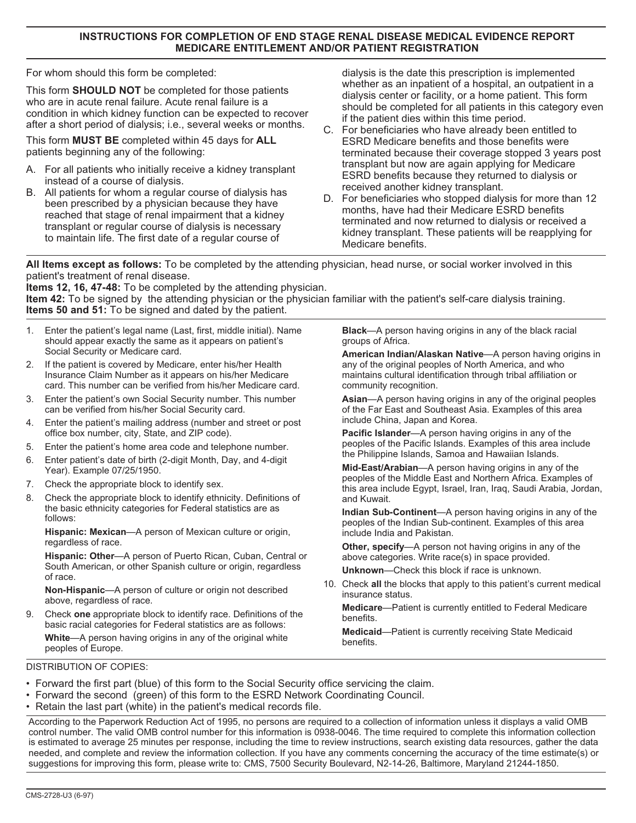### **INSTRUCTIONS FOR COMPLETION OF END STAGE RENAL DISEASE MEDICAL EVIDENCE REPORT MEDICARE ENTITLEMENT AND/OR PATIENT REGISTRATION**

For whom should this form be completed:

This form **SHOULD NOT** be completed for those patients who are in acute renal failure. Acute renal failure is a condition in which kidney function can be expected to recover after a short period of dialysis; i.e., several weeks or months.

This form **MUST BE** completed within 45 days for **ALL** patients beginning any of the following:

- A. For all patients who initially receive a kidney transplant instead of a course of dialysis.
- B. All patients for whom a regular course of dialysis has been prescribed by a physician because they have reached that stage of renal impairment that a kidney transplant or regular course of dialysis is necessary to maintain life. The first date of a regular course of

dialysis is the date this prescription is implemented whether as an inpatient of a hospital, an outpatient in a dialysis center or facility, or a home patient. This form should be completed for all patients in this category even if the patient dies within this time period.

- terminated because their coverage stopped 3 years post C. For beneficiaries who have already been entitled to ESRD Medicare benefits and those benefits were transplant but now are again applying for Medicare ESRD benefits because they returned to dialysis or received another kidney transplant.
- D. For beneficiaries who stopped dialysis for more than 12 months, have had their Medicare ESRD benefits terminated and now returned to dialysis or received a kidney transplant. These patients will be reapplying for Medicare benefits.

**All Items except as follows:** To be completed by the attending physician, head nurse, or social worker involved in this patient's treatment of renal disease.

**Items 12, 16, 47-48:** To be completed by the attending physician. **Item 42:** To be signed by the attending physician or the physician familiar with the patient's self-care dialysis training. **Items 50 and 51:** To be signed and dated by the patient.

- 1. Enter the patient's legal name (Last, first, middle initial). Name should appear exactly the same as it appears on patient's Social Security or Medicare card.
- 2. If the patient is covered by Medicare, enter his/her Health Insurance Claim Number as it appears on his/her Medicare card. This number can be verified from his/her Medicare card.
- 3. Enter the patient's own Social Security number. This number can be verified from his/her Social Security card.
- 4. Enter the patient's mailing address (number and street or post office box number, city, State, and ZIP code).
- 5. Enter the patient's home area code and telephone number.
- 6. Enter patient's date of birth (2-digit Month, Day, and 4-digit Year). Example 07/25/1950.
- 7. Check the appropriate block to identify sex.
- 8. Check the appropriate block to identify ethnicity. Definitions of the basic ethnicity categories for Federal statistics are as follows:

**Hispanic: Mexican**—A person of Mexican culture or origin, regardless of race.

**Hispanic: Other**—A person of Puerto Rican, Cuban, Central or South American, or other Spanish culture or origin, regardless of race.

**Non-Hispanic**—A person of culture or origin not described above, regardless of race.

9. Check **one** appropriate block to identify race. Definitions of the basic racial categories for Federal statistics are as follows: **White**—A person having origins in any of the original white peoples of Europe.

**Black**—A person having origins in any of the black racial groups of Africa.

**American Indian/Alaskan Native**—A person having origins in any of the original peoples of North America, and who maintains cultural identification through tribal affiliation or community recognition.

**Asian**—A person having origins in any of the original peoples of the Far East and Southeast Asia. Examples of this area include China, Japan and Korea.

**Pacific Islander**—A person having origins in any of the peoples of the Pacific Islands. Examples of this area include the Philippine Islands, Samoa and Hawaiian Islands.

**Mid-East/Arabian**—A person having origins in any of the peoples of the Middle East and Northern Africa. Examples of this area include Egypt, Israel, Iran, Iraq, Saudi Arabia, Jordan, and Kuwait.

**Indian Sub-Continent**—A person having origins in any of the peoples of the Indian Sub-continent. Examples of this area include India and Pakistan.

**Other, specify**—A person not having origins in any of the above categories. Write race(s) in space provided.

**Unknown**—Check this block if race is unknown.

10. Check **all** the blocks that apply to this patient's current medical insurance status.

**Medicare**—Patient is currently entitled to Federal Medicare benefits.

**Medicaid**—Patient is currently receiving State Medicaid benefits.

#### DISTRIBUTION OF COPIES:

- Forward the first part (blue) of this form to the Social Security office servicing the claim.
- Forward the second (green) of this form to the ESRD Network Coordinating Council.
- Retain the last part (white) in the patient's medical records file.

According to the Paperwork Reduction Act of 1995, no persons are required to a collection of information unless it displays a valid OMB control number. The valid OMB control number for this information is 0938-0046. The time required to complete this information collection is estimated to average 25 minutes per response, including the time to review instructions, search existing data resources, gather the data needed, and complete and review the information collection. If you have any comments concerning the accuracy of the time estimate(s) or suggestions for improving this form, please write to: CMS, 7500 Security Boulevard, N2-14-26, Baltimore, Maryland 21244-1850.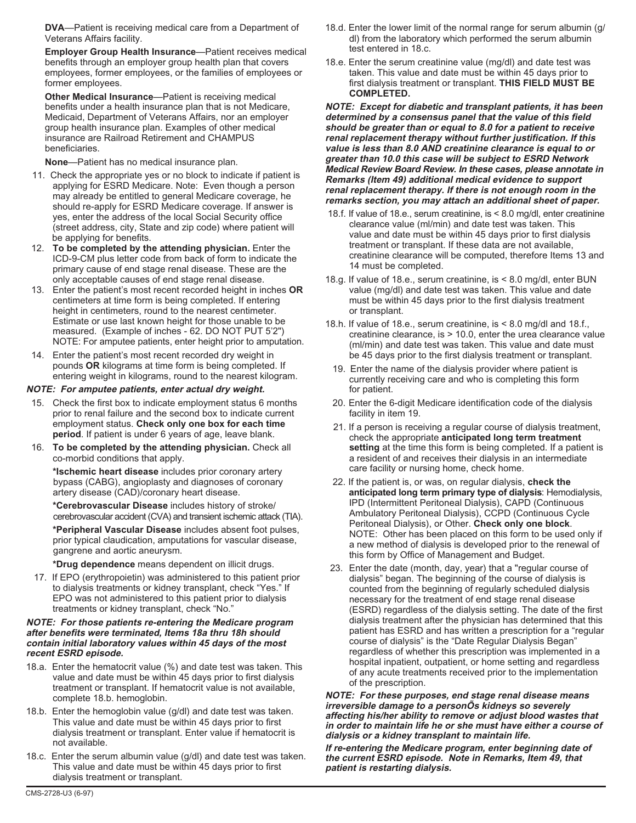**DVA**—Patient is receiving medical care from a Department of Veterans Affairs facility.

**Employer Group Health Insurance**—Patient receives medical benefits through an employer group health plan that covers employees, former employees, or the families of employees or former employees.

**Other Medical Insurance**—Patient is receiving medical benefits under a health insurance plan that is not Medicare, Medicaid, Department of Veterans Affairs, nor an employer group health insurance plan. Examples of other medical insurance are Railroad Retirement and CHAMPUS beneficiaries.

**None**—Patient has no medical insurance plan.

- 11. Check the appropriate yes or no block to indicate if patient is applying for ESRD Medicare. Note: Even though a person may already be entitled to general Medicare coverage, he should re-apply for ESRD Medicare coverage. If answer is yes, enter the address of the local Social Security office (street address, city, State and zip code) where patient will be applying for benefits.
- 12. **To be completed by the attending physician.** Enter the ICD-9-CM plus letter code from back of form to indicate the primary cause of end stage renal disease. These are the only acceptable causes of end stage renal disease.
- 13. Enter the patient's most recent recorded height in inches **OR** centimeters at time form is being completed. If entering height in centimeters, round to the nearest centimeter. Estimate or use last known height for those unable to be measured. (Example of inches - 62. DO NOT PUT 5'2") NOTE: For amputee patients, enter height prior to amputation.
- 14. Enter the patient's most recent recorded dry weight in pounds **OR** kilograms at time form is being completed. If entering weight in kilograms, round to the nearest kilogram.

#### **NOTE: For amputee patients, enter actual dry weight.**

- 15. Check the first box to indicate employment status 6 months prior to renal failure and the second box to indicate current employment status. **Check only one box for each time period**. If patient is under 6 years of age, leave blank.
- 16. **To be completed by the attending physician.** Check all co-morbid conditions that apply.

**\*Ischemic heart disease** includes prior coronary artery bypass (CABG), angioplasty and diagnoses of coronary artery disease (CAD)/coronary heart disease.

**\*Cerebrovascular Disease** includes history of stroke/ cerebrovascular accident (CVA) and transient ischemic attack (TIA).

**\*Peripheral Vascular Disease** includes absent foot pulses, prior typical claudication, amputations for vascular disease, gangrene and aortic aneurysm.

**\*Drug dependence** means dependent on illicit drugs.

17. If EPO (erythropoietin) was administered to this patient prior to dialysis treatments or kidney transplant, check "Yes." If EPO was not administered to this patient prior to dialysis treatments or kidney transplant, check "No."

#### **NOTE: For those patients re-entering the Medicare program after benefits were terminated, Items 18a thru 18h should contain initial laboratory values within 45 days of the most recent ESRD episode.**

- 18.a. Enter the hematocrit value (%) and date test was taken. This value and date must be within 45 days prior to first dialysis treatment or transplant. If hematocrit value is not available, complete 18.b. hemoglobin.
- 18.b. Enter the hemoglobin value (g/dl) and date test was taken. This value and date must be within 45 days prior to first dialysis treatment or transplant. Enter value if hematocrit is not available.
- 18.c. Enter the serum albumin value (g/dl) and date test was taken. This value and date must be within 45 days prior to first dialysis treatment or transplant.
- 18.d. Enter the lower limit of the normal range for serum albumin (g/ dl) from the laboratory which performed the serum albumin test entered in 18.c.
- 18.e. Enter the serum creatinine value (mg/dl) and date test was taken. This value and date must be within 45 days prior to first dialysis treatment or transplant. **THIS FIELD MUST BE COMPLETED.**

**NOTE: Except for diabetic and transplant patients, it has been determined by <sup>a</sup> consensus panel that the value of this field should be greater than or equal to 8.0 for <sup>a</sup> patient to receive renal replacement therapy without further justification. If this value is less than 8.0 AND creatinine clearance is equal to or greater than 10.0 this case will be subject to ESRD Network Medical Review Board Review. In these cases, please annotate in Remarks (Item 49) additional medical evidence to support renal replacement therapy. If there is not enough room in the remarks section, you may attach an additional sheet of paper.**

- 18.f. If value of 18.e., serum creatinine, is < 8.0 mg/dl, enter creatinine clearance value (ml/min) and date test was taken. This value and date must be within 45 days prior to first dialysis treatment or transplant. If these data are not available, creatinine clearance will be computed, therefore Items 13 and 14 must be completed.
- 18.g. If value of 18.e., serum creatinine, is < 8.0 mg/dl, enter BUN value (mg/dl) and date test was taken. This value and date must be within 45 days prior to the first dialysis treatment or transplant.
- 18.h. If value of 18.e., serum creatinine, is < 8.0 mg/dl and 18.f., creatinine clearance, is > 10.0, enter the urea clearance value (ml/min) and date test was taken. This value and date must be 45 days prior to the first dialysis treatment or transplant.
	- 19. Enter the name of the dialysis provider where patient is currently receiving care and who is completing this form for patient.
	- 20. Enter the 6-digit Medicare identification code of the dialysis facility in item 19.
	- 21. If a person is receiving a regular course of dialysis treatment, check the appropriate **anticipated long term treatment setting** at the time this form is being completed. If a patient is a resident of and receives their dialysis in an intermediate care facility or nursing home, check home.
- 22. If the patient is, or was, on regular dialysis, **check the anticipated long term primary type of dialysis**: Hemodialysis, IPD (Intermittent Peritoneal Dialysis), CAPD (Continuous Ambulatory Peritoneal Dialysis), CCPD (Continuous Cycle Peritoneal Dialysis), or Other. **Check only one block**. NOTE: Other has been placed on this form to be used only if a new method of dialysis is developed prior to the renewal of this form by Office of Management and Budget.
- 23. Enter the date (month, day, year) that a "regular course of dialysis" began. The beginning of the course of dialysis is counted from the beginning of regularly scheduled dialysis necessary for the treatment of end stage renal disease (ESRD) regardless of the dialysis setting. The date of the first dialysis treatment after the physician has determined that this patient has ESRD and has written a prescription for a "regular course of dialysis" is the "Date Regular Dialysis Began" regardless of whether this prescription was implemented in a hospital inpatient, outpatient, or home setting and regardless of any acute treatments received prior to the implementation of the prescription.

**NOTE: For these purposes, end stage renal disease means irreversible damage to <sup>a</sup> personÕs kidneys so severely affecting his/her ability to remove or adjust blood wastes that in order to maintain life he or she must have either a course of dialysis or <sup>a</sup> kidney transplant to maintain life.**

**If re-entering the Medicare program, enter beginning date of the current ESRD episode. Note in Remarks, Item 49, that patient is restarting dialysis.**